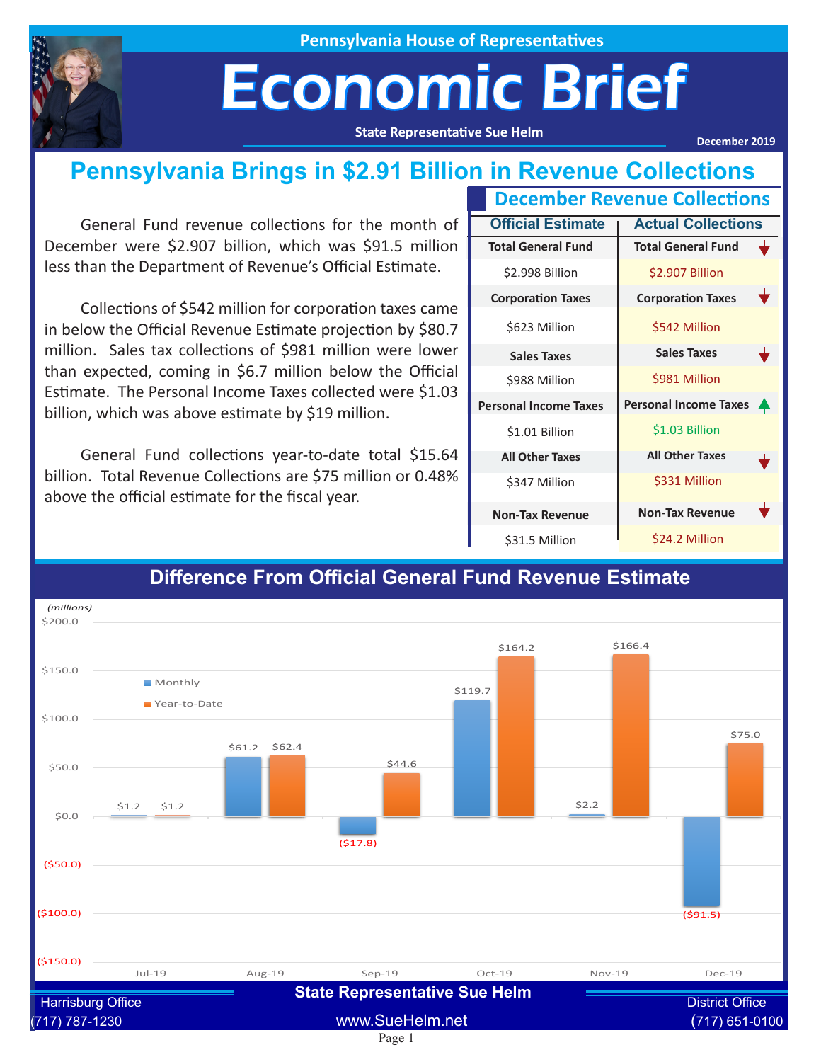

**Pennsylvania House of Representatives**

# Economic Brief

**State Representative Sue Helm**

**December 2019**

### **Pennsylvania Brings in \$2.91 Billion in Revenue Collections**

General Fund revenue collections for the month of December were \$2.907 billion, which was \$91.5 million less than the Department of Revenue's Official Estimate.

Collections of \$542 million for corporation taxes came in below the Official Revenue Estimate projection by \$80.7 million. Sales tax collections of \$981 million were lower than expected, coming in \$6.7 million below the Official Estimate. The Personal Income Taxes collected were \$1.03 billion, which was above estimate by \$19 million.

General Fund collections year-to-date total \$15.64 billion. Total Revenue Collections are \$75 million or 0.48% above the official estimate for the fiscal year.

| <b>December Revenue Collections</b> |                              |                  |  |
|-------------------------------------|------------------------------|------------------|--|
| <b>Official Estimate</b>            | <b>Actual Collections</b>    |                  |  |
| <b>Total General Fund</b>           | <b>Total General Fund</b>    |                  |  |
| \$2.998 Billion                     | \$2.907 Billion              |                  |  |
| <b>Corporation Taxes</b>            | <b>Corporation Taxes</b>     |                  |  |
| \$623 Million                       | \$542 Million                |                  |  |
| <b>Sales Taxes</b>                  | <b>Sales Taxes</b>           |                  |  |
| \$988 Million                       | \$981 Million                |                  |  |
| <b>Personal Income Taxes</b>        | <b>Personal Income Taxes</b> | $\blacktriangle$ |  |
| \$1.01 Billion                      | \$1.03 Billion               |                  |  |
| <b>All Other Taxes</b>              | <b>All Other Taxes</b>       |                  |  |
| \$347 Million                       | \$331 Million                |                  |  |
| <b>Non-Tax Revenue</b>              | <b>Non-Tax Revenue</b>       |                  |  |
| \$31.5 Million                      | \$24.2 Million               |                  |  |



#### **Difference From Official General Fund Revenue Estimate**